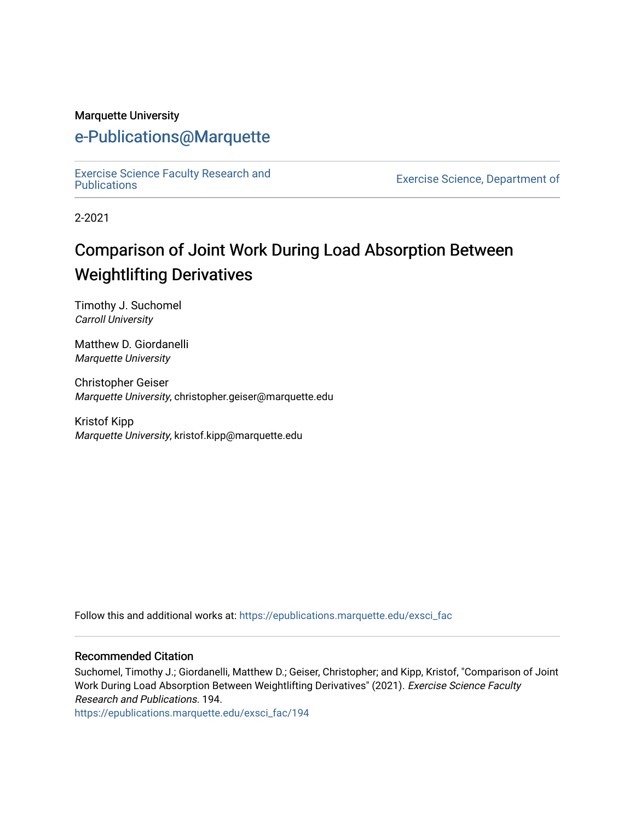#### Marquette University

## [e-Publications@Marquette](https://epublications.marquette.edu/)

[Exercise Science Faculty Research and](https://epublications.marquette.edu/exsci_fac)

Exercise Science, Department of

2-2021

# Comparison of Joint Work During Load Absorption Between Weightlifting Derivatives

Timothy J. Suchomel Carroll University

Matthew D. Giordanelli Marquette University

Christopher Geiser Marquette University, christopher.geiser@marquette.edu

Kristof Kipp Marquette University, kristof.kipp@marquette.edu

Follow this and additional works at: [https://epublications.marquette.edu/exsci\\_fac](https://epublications.marquette.edu/exsci_fac?utm_source=epublications.marquette.edu%2Fexsci_fac%2F194&utm_medium=PDF&utm_campaign=PDFCoverPages)

#### Recommended Citation

Suchomel, Timothy J.; Giordanelli, Matthew D.; Geiser, Christopher; and Kipp, Kristof, "Comparison of Joint Work During Load Absorption Between Weightlifting Derivatives" (2021). Exercise Science Faculty Research and Publications. 194.

[https://epublications.marquette.edu/exsci\\_fac/194](https://epublications.marquette.edu/exsci_fac/194?utm_source=epublications.marquette.edu%2Fexsci_fac%2F194&utm_medium=PDF&utm_campaign=PDFCoverPages)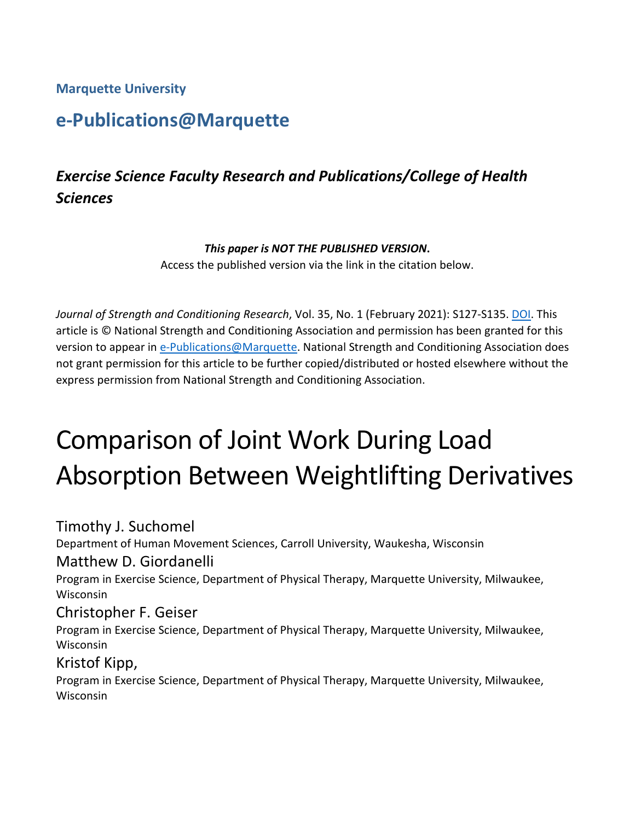**Marquette University**

# **e-Publications@Marquette**

# *Exercise Science Faculty Research and Publications/College of Health Sciences*

#### *This paper is NOT THE PUBLISHED VERSION***.**

Access the published version via the link in the citation below.

*Journal of Strength and Conditioning Research*, Vol. 35, No. 1 (February 2021): S127-S135. [DOI.](https://doi.org/10.1519/JSC.0000000000002927) This article is © National Strength and Conditioning Association and permission has been granted for this version to appear in [e-Publications@Marquette.](http://epublications.marquette.edu/) National Strength and Conditioning Association does not grant permission for this article to be further copied/distributed or hosted elsewhere without the express permission from National Strength and Conditioning Association.

# Comparison of Joint Work During Load Absorption Between Weightlifting Derivatives

Timothy J. Suchomel Department of Human Movement Sciences, Carroll University, Waukesha, Wisconsin Matthew D. Giordanelli Program in Exercise Science, Department of Physical Therapy, Marquette University, Milwaukee, Wisconsin Christopher F. Geiser Program in Exercise Science, Department of Physical Therapy, Marquette University, Milwaukee, Wisconsin Kristof Kipp, Program in Exercise Science, Department of Physical Therapy, Marquette University, Milwaukee,

**Wisconsin**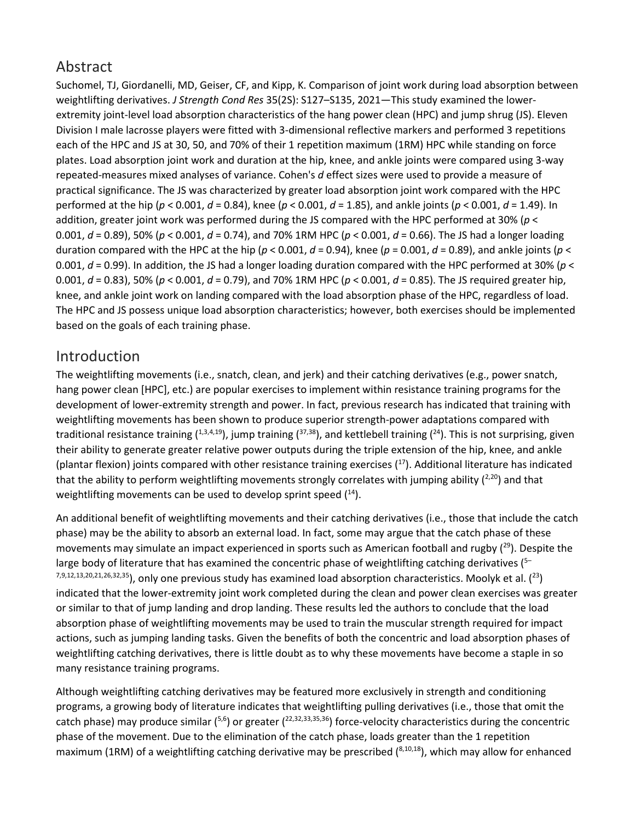## Abstract

Suchomel, TJ, Giordanelli, MD, Geiser, CF, and Kipp, K. Comparison of joint work during load absorption between weightlifting derivatives. *J Strength Cond Res* 35(2S): S127–S135, 2021—This study examined the lowerextremity joint-level load absorption characteristics of the hang power clean (HPC) and jump shrug (JS). Eleven Division I male lacrosse players were fitted with 3-dimensional reflective markers and performed 3 repetitions each of the HPC and JS at 30, 50, and 70% of their 1 repetition maximum (1RM) HPC while standing on force plates. Load absorption joint work and duration at the hip, knee, and ankle joints were compared using 3-way repeated-measures mixed analyses of variance. Cohen's *d* effect sizes were used to provide a measure of practical significance. The JS was characterized by greater load absorption joint work compared with the HPC performed at the hip (*p* < 0.001, *d* = 0.84), knee (*p* < 0.001, *d* = 1.85), and ankle joints (*p* < 0.001, *d* = 1.49). In addition, greater joint work was performed during the JS compared with the HPC performed at 30% (*p* < 0.001, *d* = 0.89), 50% (*p* < 0.001, *d* = 0.74), and 70% 1RM HPC (*p* < 0.001, *d* = 0.66). The JS had a longer loading duration compared with the HPC at the hip ( $p < 0.001$ ,  $d = 0.94$ ), knee ( $p = 0.001$ ,  $d = 0.89$ ), and ankle joints ( $p <$ 0.001, *d* = 0.99). In addition, the JS had a longer loading duration compared with the HPC performed at 30% (*p* < 0.001, *d* = 0.83), 50% (*p* < 0.001, *d* = 0.79), and 70% 1RM HPC (*p* < 0.001, *d* = 0.85). The JS required greater hip, knee, and ankle joint work on landing compared with the load absorption phase of the HPC, regardless of load. The HPC and JS possess unique load absorption characteristics; however, both exercises should be implemented based on the goals of each training phase.

## Introduction

The weightlifting movements (i.e., snatch, clean, and jerk) and their catching derivatives (e.g., power snatch, hang power clean [HPC], etc.) are popular exercises to implement within resistance training programs for the development of lower-extremity strength and power. In fact, previous research has indicated that training with weightlifting movements has been shown to produce superior strength-power adaptations compared with traditional resistance training  $(^{1,3,4,19})$ , jump training  $(^{37,38})$ , and kettlebell training  $(^{24})$ . This is not surprising, given their ability to generate greater relative power outputs during the triple extension of the hip, knee, and ankle (plantar flexion) joints compared with other resistance training exercises  $(17)$ . Additional literature has indicated that the ability to perform weightlifting movements strongly correlates with jumping ability  $(^{2,20})$  and that weightlifting movements can be used to develop sprint speed  $(14)$ .

An additional benefit of weightlifting movements and their catching derivatives (i.e., those that include the catch phase) may be the ability to absorb an external load. In fact, some may argue that the catch phase of these movements may simulate an impact experienced in sports such as American football and rugby  $(^{29})$ . Despite the large body of literature that has examined the concentric phase of weightlifting catching derivatives (5- $7,9,12,13,20,21,26,32,35$ ), only one previous study has examined load absorption characteristics. Moolyk et al.  $(^{23})$ indicated that the lower-extremity joint work completed during the clean and power clean exercises was greater or similar to that of jump landing and drop landing. These results led the authors to conclude that the load absorption phase of weightlifting movements may be used to train the muscular strength required for impact actions, such as jumping landing tasks. Given the benefits of both the concentric and load absorption phases of weightlifting catching derivatives, there is little doubt as to why these movements have become a staple in so many resistance training programs.

Although weightlifting catching derivatives may be featured more exclusively in strength and conditioning programs, a growing body of literature indicates that weightlifting pulling derivatives (i.e., those that omit the catch phase) may produce similar  $(5.6)$  or greater  $(22,32,33,35,36)$  force-velocity characteristics during the concentric phase of the movement. Due to the elimination of the catch phase, loads greater than the 1 repetition maximum (1RM) of a weightlifting catching derivative may be prescribed  $(^{8,10,18})$ , which may allow for enhanced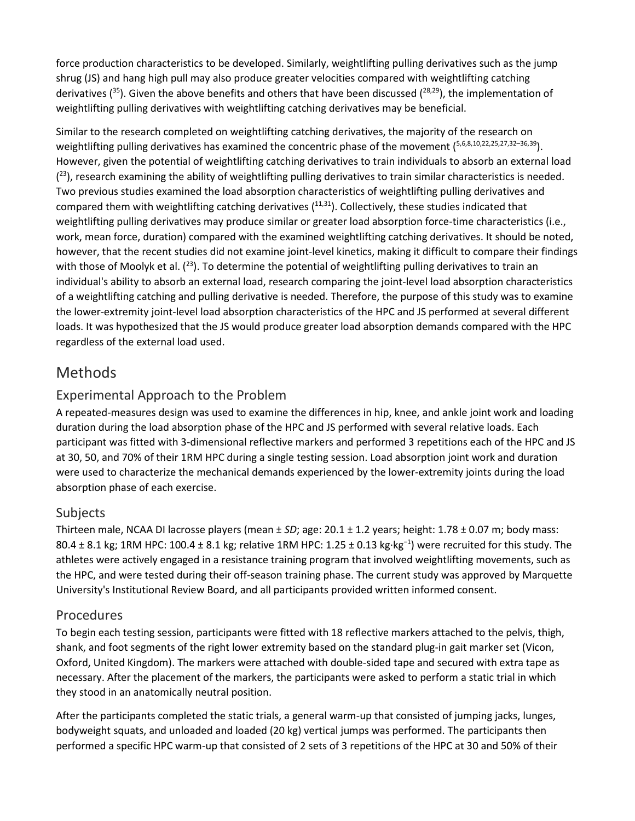force production characteristics to be developed. Similarly, weightlifting pulling derivatives such as the jump shrug (JS) and hang high pull may also produce greater velocities compared with weightlifting catching derivatives ( $35$ ). Given the above benefits and others that have been discussed ( $28,29$ ), the implementation of weightlifting pulling derivatives with weightlifting catching derivatives may be beneficial.

Similar to the research completed on weightlifting catching derivatives, the majority of the research on weightlifting pulling derivatives has examined the concentric phase of the movement (5,6,8,10,22,25,27,32-36,39). However, given the potential of weightlifting catching derivatives to train individuals to absorb an external load  $(2<sup>3</sup>)$ , research examining the ability of weightlifting pulling derivatives to train similar characteristics is needed. Two previous studies examined the load absorption characteristics of weightlifting pulling derivatives and compared them with weightlifting catching derivatives  $(11,31)$ . Collectively, these studies indicated that weightlifting pulling derivatives may produce similar or greater load absorption force-time characteristics (i.e., work, mean force, duration) compared with the examined weightlifting catching derivatives. It should be noted, however, that the recent studies did not examine joint-level kinetics, making it difficult to compare their findings with those of Moolyk et al.  $(^{23})$ . To determine the potential of weightlifting pulling derivatives to train an individual's ability to absorb an external load, research comparing the joint-level load absorption characteristics of a weightlifting catching and pulling derivative is needed. Therefore, the purpose of this study was to examine the lower-extremity joint-level load absorption characteristics of the HPC and JS performed at several different loads. It was hypothesized that the JS would produce greater load absorption demands compared with the HPC regardless of the external load used.

## Methods

## Experimental Approach to the Problem

A repeated-measures design was used to examine the differences in hip, knee, and ankle joint work and loading duration during the load absorption phase of the HPC and JS performed with several relative loads. Each participant was fitted with 3-dimensional reflective markers and performed 3 repetitions each of the HPC and JS at 30, 50, and 70% of their 1RM HPC during a single testing session. Load absorption joint work and duration were used to characterize the mechanical demands experienced by the lower-extremity joints during the load absorption phase of each exercise.

## Subjects

Thirteen male, NCAA DI lacrosse players (mean ± *SD*; age: 20.1 ± 1.2 years; height: 1.78 ± 0.07 m; body mass: 80.4 ± 8.1 kg; 1RM HPC: 100.4 ± 8.1 kg; relative 1RM HPC: 1.25 ± 0.13 kg·kg<sup>-1</sup>) were recruited for this study. The athletes were actively engaged in a resistance training program that involved weightlifting movements, such as the HPC, and were tested during their off-season training phase. The current study was approved by Marquette University's Institutional Review Board, and all participants provided written informed consent.

#### Procedures

To begin each testing session, participants were fitted with 18 reflective markers attached to the pelvis, thigh, shank, and foot segments of the right lower extremity based on the standard plug-in gait marker set (Vicon, Oxford, United Kingdom). The markers were attached with double-sided tape and secured with extra tape as necessary. After the placement of the markers, the participants were asked to perform a static trial in which they stood in an anatomically neutral position.

After the participants completed the static trials, a general warm-up that consisted of jumping jacks, lunges, bodyweight squats, and unloaded and loaded (20 kg) vertical jumps was performed. The participants then performed a specific HPC warm-up that consisted of 2 sets of 3 repetitions of the HPC at 30 and 50% of their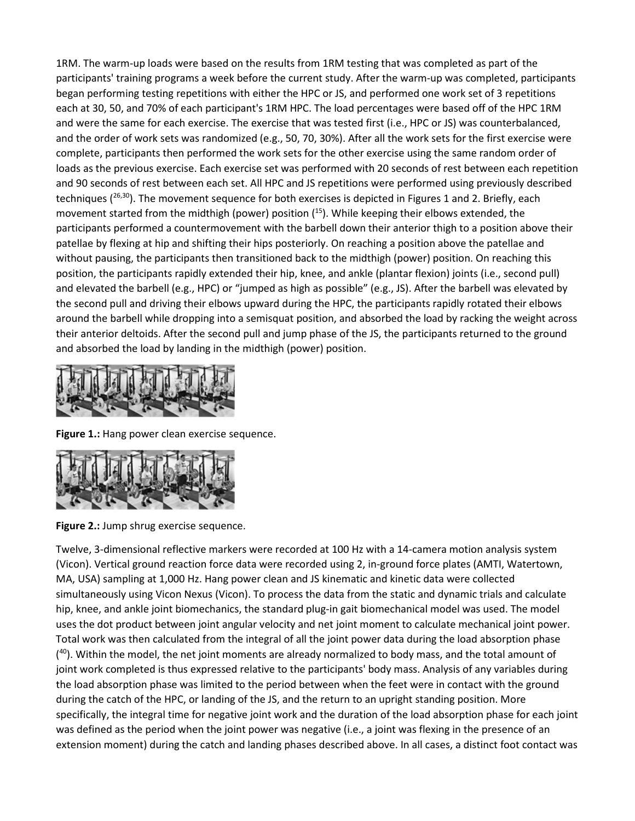1RM. The warm-up loads were based on the results from 1RM testing that was completed as part of the participants' training programs a week before the current study. After the warm-up was completed, participants began performing testing repetitions with either the HPC or JS, and performed one work set of 3 repetitions each at 30, 50, and 70% of each participant's 1RM HPC. The load percentages were based off of the HPC 1RM and were the same for each exercise. The exercise that was tested first (i.e., HPC or JS) was counterbalanced, and the order of work sets was randomized (e.g., 50, 70, 30%). After all the work sets for the first exercise were complete, participants then performed the work sets for the other exercise using the same random order of loads as the previous exercise. Each exercise set was performed with 20 seconds of rest between each repetition and 90 seconds of rest between each set. All HPC and JS repetitions were performed using previously described techniques ( $^{26,30}$ ). The movement sequence for both exercises is depicted in Figures 1 and 2. Briefly, each movement started from the midthigh (power) position (<sup>15</sup>). While keeping their elbows extended, the participants performed a countermovement with the barbell down their anterior thigh to a position above their patellae by flexing at hip and shifting their hips posteriorly. On reaching a position above the patellae and without pausing, the participants then transitioned back to the midthigh (power) position. On reaching this position, the participants rapidly extended their hip, knee, and ankle (plantar flexion) joints (i.e., second pull) and elevated the barbell (e.g., HPC) or "jumped as high as possible" (e.g., JS). After the barbell was elevated by the second pull and driving their elbows upward during the HPC, the participants rapidly rotated their elbows around the barbell while dropping into a semisquat position, and absorbed the load by racking the weight across their anterior deltoids. After the second pull and jump phase of the JS, the participants returned to the ground and absorbed the load by landing in the midthigh (power) position.



**Figure 1.:** Hang power clean exercise sequence.



**Figure 2.:** Jump shrug exercise sequence.

Twelve, 3-dimensional reflective markers were recorded at 100 Hz with a 14-camera motion analysis system (Vicon). Vertical ground reaction force data were recorded using 2, in-ground force plates (AMTI, Watertown, MA, USA) sampling at 1,000 Hz. Hang power clean and JS kinematic and kinetic data were collected simultaneously using Vicon Nexus (Vicon). To process the data from the static and dynamic trials and calculate hip, knee, and ankle joint biomechanics, the standard plug-in gait biomechanical model was used. The model uses the dot product between joint angular velocity and net joint moment to calculate mechanical joint power. Total work was then calculated from the integral of all the joint power data during the load absorption phase (<sup>40</sup>). Within the model, the net joint moments are already normalized to body mass, and the total amount of joint work completed is thus expressed relative to the participants' body mass. Analysis of any variables during the load absorption phase was limited to the period between when the feet were in contact with the ground during the catch of the HPC, or landing of the JS, and the return to an upright standing position. More specifically, the integral time for negative joint work and the duration of the load absorption phase for each joint was defined as the period when the joint power was negative (i.e., a joint was flexing in the presence of an extension moment) during the catch and landing phases described above. In all cases, a distinct foot contact was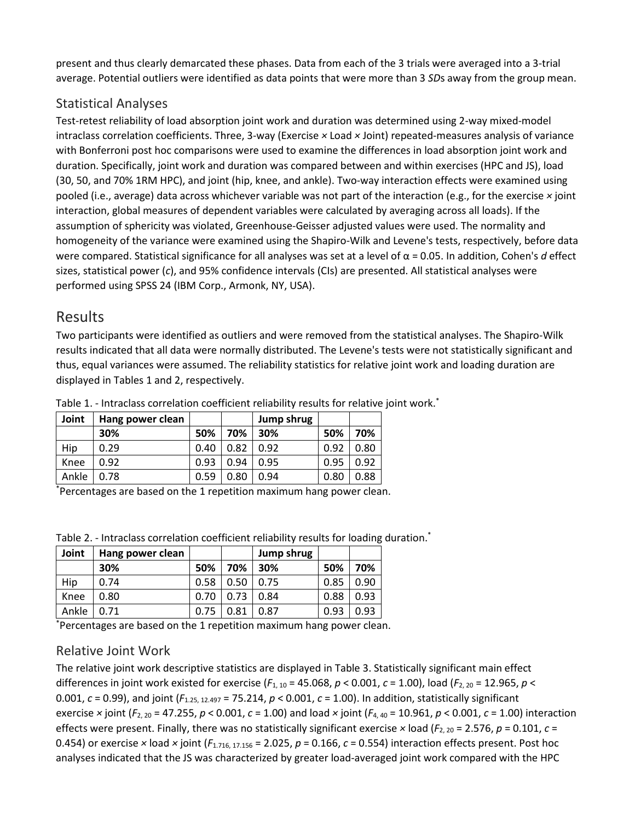present and thus clearly demarcated these phases. Data from each of the 3 trials were averaged into a 3-trial average. Potential outliers were identified as data points that were more than 3 *SD*s away from the group mean.

#### Statistical Analyses

Test-retest reliability of load absorption joint work and duration was determined using 2-way mixed-model intraclass correlation coefficients. Three, 3-way (Exercise *×* Load *×* Joint) repeated-measures analysis of variance with Bonferroni post hoc comparisons were used to examine the differences in load absorption joint work and duration. Specifically, joint work and duration was compared between and within exercises (HPC and JS), load (30, 50, and 70% 1RM HPC), and joint (hip, knee, and ankle). Two-way interaction effects were examined using pooled (i.e., average) data across whichever variable was not part of the interaction (e.g., for the exercise *×* joint interaction, global measures of dependent variables were calculated by averaging across all loads). If the assumption of sphericity was violated, Greenhouse-Geisser adjusted values were used. The normality and homogeneity of the variance were examined using the Shapiro-Wilk and Levene's tests, respectively, before data were compared. Statistical significance for all analyses was set at a level of α = 0.05. In addition, Cohen's *d* effect sizes, statistical power (*c*), and 95% confidence intervals (CIs) are presented. All statistical analyses were performed using SPSS 24 (IBM Corp., Armonk, NY, USA).

## Results

Two participants were identified as outliers and were removed from the statistical analyses. The Shapiro-Wilk results indicated that all data were normally distributed. The Levene's tests were not statistically significant and thus, equal variances were assumed. The reliability statistics for relative joint work and loading duration are displayed in Tables 1 and 2, respectively.

| Joint | Hang power clean |      |      | Jump shrug |      |      |
|-------|------------------|------|------|------------|------|------|
|       | 30%              | 50%  | 70%  | 30%        | 50%  | 70%  |
| Hip   | 0.29             | 0.40 | 0.82 | 0.92       | 0.92 | 0.80 |
| Knee  | 0.92             | 0.93 | 0.94 | 0.95       | 0.95 | 0.92 |
| Ankle | 0.78             | 0.59 | 0.80 | 0.94       | 0.80 | 0.88 |

Table 1. - Intraclass correlation coefficient reliability results for relative joint work.\*

\* Percentages are based on the 1 repetition maximum hang power clean.

| Joint | Hang power clean |      |      | Jump shrug |      |      |
|-------|------------------|------|------|------------|------|------|
|       | 30%              | 50%  | 70%  | 30%        | 50%  | 70%  |
| Hip   | 0.74             | 0.58 | 0.50 | 0.75       | 0.85 | 0.90 |
| Knee  | 0.80             | 0.70 | 0.73 | 0.84       | 0.88 | 0.93 |
| Ankle | 0.71             | 0.75 | 0.81 | 0.87       | 0.93 | 0.93 |

Table 2. - Intraclass correlation coefficient reliability results for loading duration.\*

\* Percentages are based on the 1 repetition maximum hang power clean.

#### Relative Joint Work

The relative joint work descriptive statistics are displayed in Table 3. Statistically significant main effect differences in joint work existed for exercise (*F*1, 10 = 45.068, *p* < 0.001, *c* = 1.00), load (*F*2, 20 = 12.965, *p* < 0.001, *c* = 0.99), and joint (*F*1.25, 12.497 = 75.214, *p* < 0.001, *c* = 1.00). In addition, statistically significant exercise *×* joint (*F*2, 20 = 47.255, *p* < 0.001, *c* = 1.00) and load *×* joint (*F*4, 40 = 10.961, *p* < 0.001, *c* = 1.00) interaction effects were present. Finally, there was no statistically significant exercise × load ( $F_{2,20}$  = 2.576,  $p$  = 0.101,  $c$  = 0.454) or exercise  $\times$  load  $\times$  joint ( $F_{1.716, 17.156}$  = 2.025,  $p$  = 0.166,  $c$  = 0.554) interaction effects present. Post hoc analyses indicated that the JS was characterized by greater load-averaged joint work compared with the HPC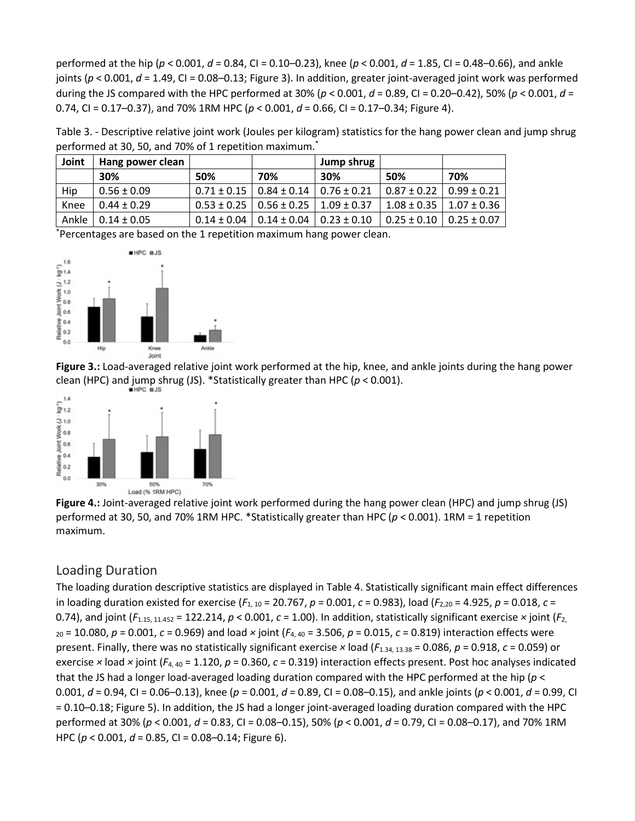performed at the hip (*p* < 0.001, *d* = 0.84, CI = 0.10–0.23), knee (*p* < 0.001, *d* = 1.85, CI = 0.48–0.66), and ankle joints (*p* < 0.001, *d* = 1.49, CI = 0.08–0.13; Figure 3). In addition, greater joint-averaged joint work was performed during the JS compared with the HPC performed at 30% (*p* < 0.001, *d* = 0.89, CI = 0.20–0.42), 50% (*p* < 0.001, *d* = 0.74, CI = 0.17–0.37), and 70% 1RM HPC (*p* < 0.001, *d* = 0.66, CI = 0.17–0.34; Figure 4).

Table 3. - Descriptive relative joint work (Joules per kilogram) statistics for the hang power clean and jump shrug performed at 30, 50, and 70% of 1 repetition maximum.<sup>\*</sup>

| Joint | Hang power clean |                 |                  | Jump shrug      |                                   |                  |
|-------|------------------|-----------------|------------------|-----------------|-----------------------------------|------------------|
|       | 30%              | 50%             | 70%              | 30%             | 50%                               | 70%              |
| Hip   | $0.56 \pm 0.09$  | $0.71 \pm 0.15$ | $0.84 \pm 0.14$  | $0.76 \pm 0.21$ | $0.87 \pm 0.22$                   | $10.99 \pm 0.21$ |
| Knee  | $0.44 \pm 0.29$  | $0.53 \pm 0.25$ | $10.56 \pm 0.25$ | $1.09 \pm 0.37$ | $1.08 \pm 0.35$   $1.07 \pm 0.36$ |                  |
| Ankle | $0.14 \pm 0.05$  | $0.14 \pm 0.04$ | $0.14 \pm 0.04$  | $0.23 \pm 0.10$ | l 0.25 ± 0.10                     | $10.25 \pm 0.07$ |

\* Percentages are based on the 1 repetition maximum hang power clean.



**Figure 3.:** Load-averaged relative joint work performed at the hip, knee, and ankle joints during the hang power [clean \(HPC\) and jump shrug \(JS\). \\*Statis](javascript:void(0))tically greater than HPC (*p* < 0.001).



**Figure 4.:** Joint-averaged relative joint work performed during the hang power clean (HPC) and jump shrug (JS) performed at 30, 50, and 70% 1RM HPC. \*Statistically greater than HPC (*p* < 0.001). 1RM = 1 repetition maximum.

#### Loading Duration

The loading duration descriptive statistics are displayed in Table 4. Statistically significant main effect differences in loading duration existed for exercise (*F*1, 10 = 20.767, *p* = 0.001, *c* = 0.983), load (*F*2,20 = 4.925, *p* = 0.018, *c* = 0.74), and joint  $(F_{1.15, 11.452} = 122.214$ ,  $p < 0.001$ ,  $c = 1.00$ ). In addition, statistically significant exercise  $\times$  joint  $(F_2)$ <sup>20</sup> = 10.080, *p* = 0.001, *c* = 0.969) and load *×* joint (*F*4, 40 = 3.506, *p* = 0.015, *c* = 0.819) interaction effects were present. Finally, there was no statistically significant exercise *×* load (*F*1.34, 13.38 = 0.086, *p* = 0.918, *c* = 0.059) or exercise *×* load *×* joint (*F*4, 40 = 1.120, *p* = 0.360, *c* = 0.319) interaction effects present. Post hoc analyses indicated that the JS had a longer load-averaged loading duration compared with the HPC performed at the hip (*p* < 0.001, *d* = 0.94, CI = 0.06–0.13), knee (*p* = 0.001, *d* = 0.89, CI = 0.08–0.15), and ankle joints (*p* < 0.001, *d* = 0.99, CI = 0.10–0.18; Figure 5). In addition, the JS had a longer joint-averaged loading duration compared with the HPC performed at 30% (*p* < 0.001, *d* = 0.83, CI = 0.08–0.15), 50% (*p* < 0.001, *d* = 0.79, CI = 0.08–0.17), and 70% 1RM HPC (*p* < 0.001, *d* = 0.85, CI = 0.08–0.14; Figure 6).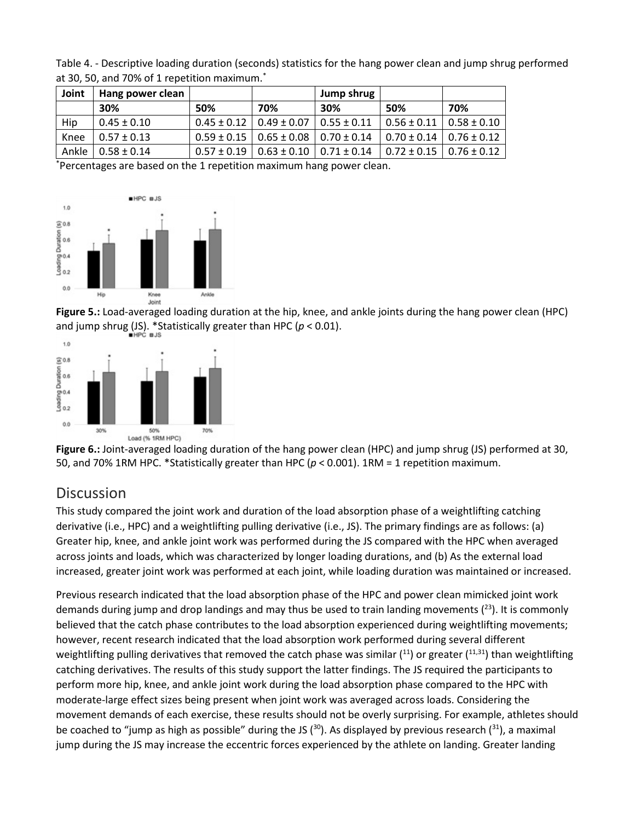Table 4. - Descriptive loading duration (seconds) statistics for the hang power clean and jump shrug performed at 30, 50, and 70% of 1 repetition maximum.<sup>\*</sup>

| Joint | Hang power clean        |     |                                                     | Jump shrug |                                   |     |
|-------|-------------------------|-----|-----------------------------------------------------|------------|-----------------------------------|-----|
|       | 30%                     | 50% | 70%                                                 | 30%        | 50%                               | 70% |
| Hip   | $0.45 \pm 0.10$         |     | $0.45 \pm 0.12$   0.49 $\pm$ 0.07   0.55 $\pm$ 0.11 |            | $0.56 \pm 0.11$   $0.58 \pm 0.10$ |     |
| Knee  | $0.57 \pm 0.13$         |     | $0.59 \pm 0.15$   0.65 $\pm$ 0.08   0.70 $\pm$ 0.14 |            | $0.70 \pm 0.14$   $0.76 \pm 0.12$ |     |
|       | Ankle   $0.58 \pm 0.14$ |     | $0.57 \pm 0.19$   $0.63 \pm 0.10$   $0.71 \pm 0.14$ |            | $0.72 \pm 0.15$ 0.76 $\pm$ 0.12   |     |

\* Percentages are based on the 1 repetition maximum hang power clean.



**Figure 5.:** Load-averaged loading duration at the hip, knee, and ankle joints during the hang power clean (HPC) and jump shrug (JS). \*Statistically greater than HPC ( $p < 0.01$ ).



**Figure 6.:** Joint-averaged loading duration of the hang power clean (HPC) and jump shrug (JS) performed at 30, 50, and 70% 1RM HPC. \*Statistically greater than HPC (*p* < 0.001). 1RM = 1 repetition maximum.

## **Discussion**

This study compared the joint work and duration of the load absorption phase of a weightlifting catching derivative (i.e., HPC) and a weightlifting pulling derivative (i.e., JS). The primary findings are as follows: (a) Greater hip, knee, and ankle joint work was performed during the JS compared with the HPC when averaged across joints and loads, which was characterized by longer loading durations, and (b) As the external load increased, greater joint work was performed at each joint, while loading duration was maintained or increased.

Previous research indicated that the load absorption phase of the HPC and power clean mimicked joint work demands during jump and drop landings and may thus be used to train landing movements  $(^{23})$ . It is commonly believed that the catch phase contributes to the load absorption experienced during weightlifting movements; however, recent research indicated that the load absorption work performed during several different weightlifting pulling derivatives that removed the catch phase was similar  $(11)$  or greater  $(11,31)$  than weightlifting catching derivatives. The results of this study support the latter findings. The JS required the participants to perform more hip, knee, and ankle joint work during the load absorption phase compared to the HPC with moderate-large effect sizes being present when joint work was averaged across loads. Considering the movement demands of each exercise, these results should not be overly surprising. For example, athletes should be coached to "jump as high as possible" during the JS ( $30$ ). As displayed by previous research ( $31$ ), a maximal jump during the JS may increase the eccentric forces experienced by the athlete on landing. Greater landing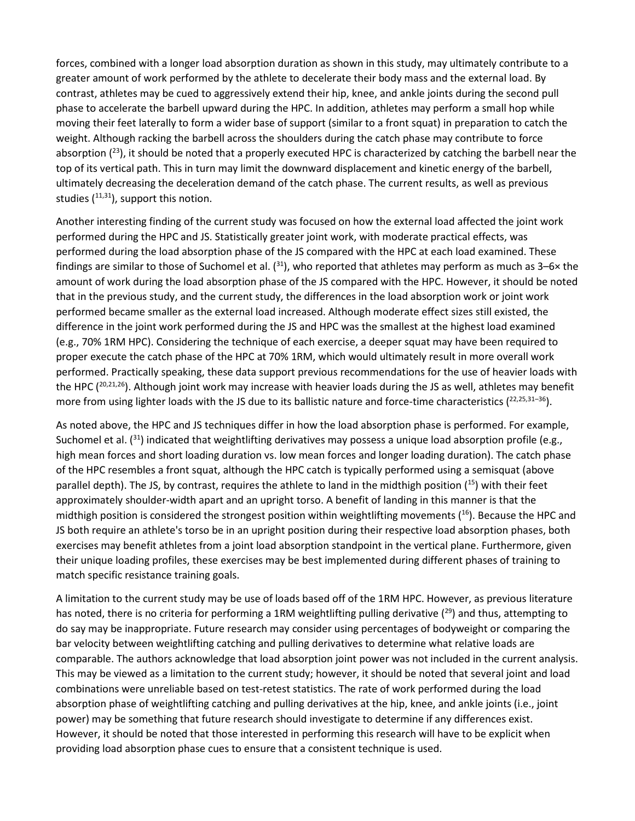forces, combined with a longer load absorption duration as shown in this study, may ultimately contribute to a greater amount of work performed by the athlete to decelerate their body mass and the external load. By contrast, athletes may be cued to aggressively extend their hip, knee, and ankle joints during the second pull phase to accelerate the barbell upward during the HPC. In addition, athletes may perform a small hop while moving their feet laterally to form a wider base of support (similar to a front squat) in preparation to catch the weight. Although racking the barbell across the shoulders during the catch phase may contribute to force absorption  $(^{23})$ , it should be noted that a properly executed HPC is characterized by catching the barbell near the top of its vertical path. This in turn may limit the downward displacement and kinetic energy of the barbell, ultimately decreasing the deceleration demand of the catch phase. The current results, as well as previous studies  $(11,31)$ , support this notion.

Another interesting finding of the current study was focused on how the external load affected the joint work performed during the HPC and JS. Statistically greater joint work, with moderate practical effects, was performed during the load absorption phase of the JS compared with the HPC at each load examined. These findings are similar to those of Suchomel et al.  $(31)$ , who reported that athletes may perform as much as 3–6× the amount of work during the load absorption phase of the JS compared with the HPC. However, it should be noted that in the previous study, and the current study, the differences in the load absorption work or joint work performed became smaller as the external load increased. Although moderate effect sizes still existed, the difference in the joint work performed during the JS and HPC was the smallest at the highest load examined (e.g., 70% 1RM HPC). Considering the technique of each exercise, a deeper squat may have been required to proper execute the catch phase of the HPC at 70% 1RM, which would ultimately result in more overall work performed. Practically speaking, these data support previous recommendations for the use of heavier loads with the HPC  $(^{20,21,26})$ . Although joint work may increase with heavier loads during the JS as well, athletes may benefit more from using lighter loads with the JS due to its ballistic nature and force-time characteristics  $(^{22,25,31-36})$ .

As noted above, the HPC and JS techniques differ in how the load absorption phase is performed. For example, Suchomel et al.  $(31)$  indicated that weightlifting derivatives may possess a unique load absorption profile (e.g., high mean forces and short loading duration vs. low mean forces and longer loading duration). The catch phase of the HPC resembles a front squat, although the HPC catch is typically performed using a semisquat (above parallel depth). The JS, by contrast, requires the athlete to land in the midthigh position  $(^{15})$  with their feet approximately shoulder-width apart and an upright torso. A benefit of landing in this manner is that the midthigh position is considered the strongest position within weightlifting movements  $(16)$ . Because the HPC and JS both require an athlete's torso be in an upright position during their respective load absorption phases, both exercises may benefit athletes from a joint load absorption standpoint in the vertical plane. Furthermore, given their unique loading profiles, these exercises may be best implemented during different phases of training to match specific resistance training goals.

A limitation to the current study may be use of loads based off of the 1RM HPC. However, as previous literature has noted, there is no criteria for performing a 1RM weightlifting pulling derivative  $(^{29})$  and thus, attempting to do say may be inappropriate. Future research may consider using percentages of bodyweight or comparing the bar velocity between weightlifting catching and pulling derivatives to determine what relative loads are comparable. The authors acknowledge that load absorption joint power was not included in the current analysis. This may be viewed as a limitation to the current study; however, it should be noted that several joint and load combinations were unreliable based on test-retest statistics. The rate of work performed during the load absorption phase of weightlifting catching and pulling derivatives at the hip, knee, and ankle joints (i.e., joint power) may be something that future research should investigate to determine if any differences exist. However, it should be noted that those interested in performing this research will have to be explicit when providing load absorption phase cues to ensure that a consistent technique is used.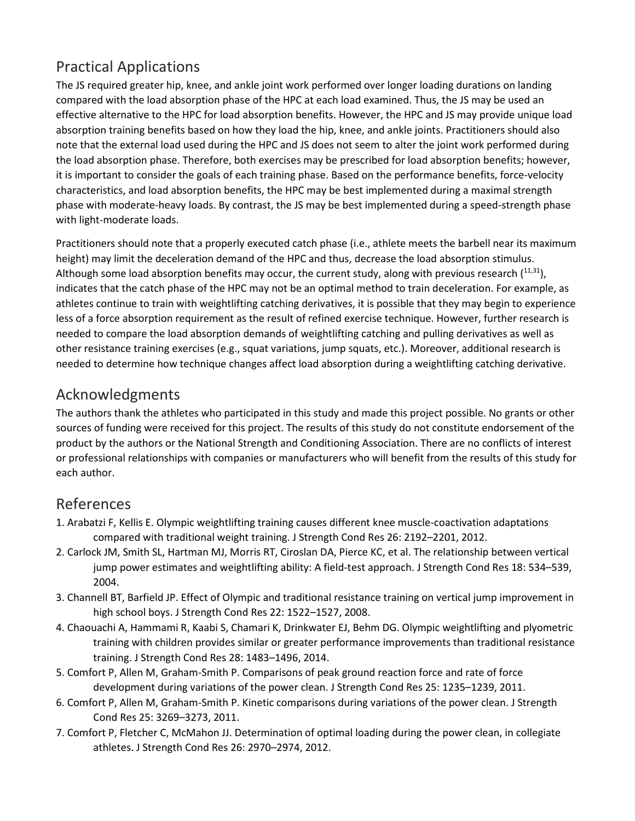# Practical Applications

The JS required greater hip, knee, and ankle joint work performed over longer loading durations on landing compared with the load absorption phase of the HPC at each load examined. Thus, the JS may be used an effective alternative to the HPC for load absorption benefits. However, the HPC and JS may provide unique load absorption training benefits based on how they load the hip, knee, and ankle joints. Practitioners should also note that the external load used during the HPC and JS does not seem to alter the joint work performed during the load absorption phase. Therefore, both exercises may be prescribed for load absorption benefits; however, it is important to consider the goals of each training phase. Based on the performance benefits, force-velocity characteristics, and load absorption benefits, the HPC may be best implemented during a maximal strength phase with moderate-heavy loads. By contrast, the JS may be best implemented during a speed-strength phase with light-moderate loads.

Practitioners should note that a properly executed catch phase (i.e., athlete meets the barbell near its maximum height) may limit the deceleration demand of the HPC and thus, decrease the load absorption stimulus. Although some load absorption benefits may occur, the current study, along with previous research  $(11,31)$ , indicates that the catch phase of the HPC may not be an optimal method to train deceleration. For example, as athletes continue to train with weightlifting catching derivatives, it is possible that they may begin to experience less of a force absorption requirement as the result of refined exercise technique. However, further research is needed to compare the load absorption demands of weightlifting catching and pulling derivatives as well as other resistance training exercises (e.g., squat variations, jump squats, etc.). Moreover, additional research is needed to determine how technique changes affect load absorption during a weightlifting catching derivative.

## Acknowledgments

The authors thank the athletes who participated in this study and made this project possible. No grants or other sources of funding were received for this project. The results of this study do not constitute endorsement of the product by the authors or the National Strength and Conditioning Association. There are no conflicts of interest or professional relationships with companies or manufacturers who will benefit from the results of this study for each author.

## References

- 1. Arabatzi F, Kellis E. Olympic weightlifting training causes different knee muscle-coactivation adaptations compared with traditional weight training. J Strength Cond Res 26: 2192–2201, 2012.
- 2. Carlock JM, Smith SL, Hartman MJ, Morris RT, Ciroslan DA, Pierce KC, et al. The relationship between vertical jump power estimates and weightlifting ability: A field-test approach. J Strength Cond Res 18: 534–539, 2004.
- 3. Channell BT, Barfield JP. Effect of Olympic and traditional resistance training on vertical jump improvement in high school boys. J Strength Cond Res 22: 1522–1527, 2008.
- 4. Chaouachi A, Hammami R, Kaabi S, Chamari K, Drinkwater EJ, Behm DG. Olympic weightlifting and plyometric training with children provides similar or greater performance improvements than traditional resistance training. J Strength Cond Res 28: 1483–1496, 2014.
- 5. Comfort P, Allen M, Graham-Smith P. Comparisons of peak ground reaction force and rate of force development during variations of the power clean. J Strength Cond Res 25: 1235–1239, 2011.
- 6. Comfort P, Allen M, Graham-Smith P. Kinetic comparisons during variations of the power clean. J Strength Cond Res 25: 3269–3273, 2011.
- 7. Comfort P, Fletcher C, McMahon JJ. Determination of optimal loading during the power clean, in collegiate athletes. J Strength Cond Res 26: 2970–2974, 2012.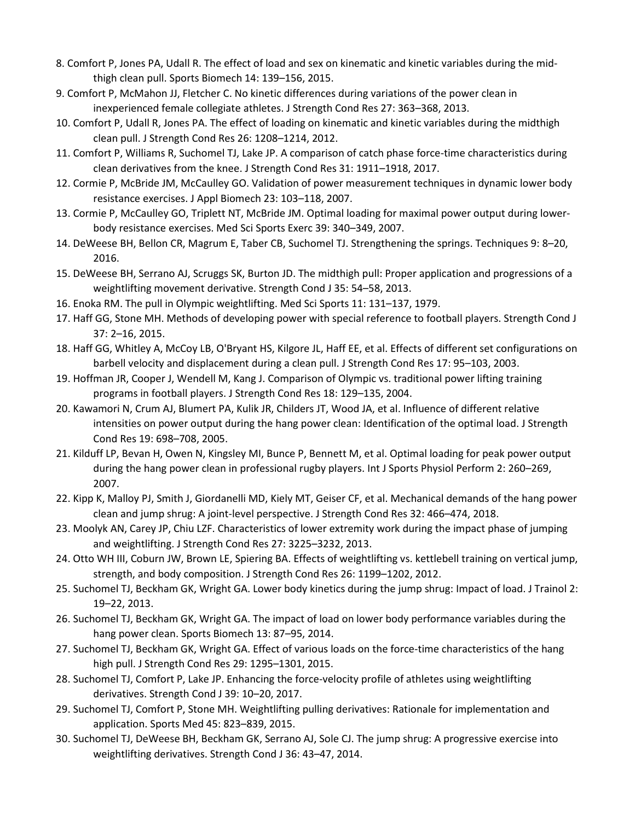- 8. Comfort P, Jones PA, Udall R. The effect of load and sex on kinematic and kinetic variables during the midthigh clean pull. Sports Biomech 14: 139–156, 2015.
- 9. Comfort P, McMahon JJ, Fletcher C. No kinetic differences during variations of the power clean in inexperienced female collegiate athletes. J Strength Cond Res 27: 363–368, 2013.
- 10. Comfort P, Udall R, Jones PA. The effect of loading on kinematic and kinetic variables during the midthigh clean pull. J Strength Cond Res 26: 1208–1214, 2012.
- 11. Comfort P, Williams R, Suchomel TJ, Lake JP. A comparison of catch phase force-time characteristics during clean derivatives from the knee. J Strength Cond Res 31: 1911–1918, 2017.
- 12. Cormie P, McBride JM, McCaulley GO. Validation of power measurement techniques in dynamic lower body resistance exercises. J Appl Biomech 23: 103–118, 2007.
- 13. Cormie P, McCaulley GO, Triplett NT, McBride JM. Optimal loading for maximal power output during lowerbody resistance exercises. Med Sci Sports Exerc 39: 340–349, 2007.
- 14. DeWeese BH, Bellon CR, Magrum E, Taber CB, Suchomel TJ. Strengthening the springs. Techniques 9: 8–20, 2016.
- 15. DeWeese BH, Serrano AJ, Scruggs SK, Burton JD. The midthigh pull: Proper application and progressions of a weightlifting movement derivative. Strength Cond J 35: 54–58, 2013.
- 16. Enoka RM. The pull in Olympic weightlifting. Med Sci Sports 11: 131–137, 1979.
- 17. Haff GG, Stone MH. Methods of developing power with special reference to football players. Strength Cond J 37: 2–16, 2015.
- 18. Haff GG, Whitley A, McCoy LB, O'Bryant HS, Kilgore JL, Haff EE, et al. Effects of different set configurations on barbell velocity and displacement during a clean pull. J Strength Cond Res 17: 95–103, 2003.
- 19. Hoffman JR, Cooper J, Wendell M, Kang J. Comparison of Olympic vs. traditional power lifting training programs in football players. J Strength Cond Res 18: 129–135, 2004.
- 20. Kawamori N, Crum AJ, Blumert PA, Kulik JR, Childers JT, Wood JA, et al. Influence of different relative intensities on power output during the hang power clean: Identification of the optimal load. J Strength Cond Res 19: 698–708, 2005.
- 21. Kilduff LP, Bevan H, Owen N, Kingsley MI, Bunce P, Bennett M, et al. Optimal loading for peak power output during the hang power clean in professional rugby players. Int J Sports Physiol Perform 2: 260–269, 2007.
- 22. Kipp K, Malloy PJ, Smith J, Giordanelli MD, Kiely MT, Geiser CF, et al. Mechanical demands of the hang power clean and jump shrug: A joint-level perspective. J Strength Cond Res 32: 466–474, 2018.
- 23. Moolyk AN, Carey JP, Chiu LZF. Characteristics of lower extremity work during the impact phase of jumping and weightlifting. J Strength Cond Res 27: 3225–3232, 2013.
- 24. Otto WH III, Coburn JW, Brown LE, Spiering BA. Effects of weightlifting vs. kettlebell training on vertical jump, strength, and body composition. J Strength Cond Res 26: 1199–1202, 2012.
- 25. Suchomel TJ, Beckham GK, Wright GA. Lower body kinetics during the jump shrug: Impact of load. J Trainol 2: 19–22, 2013.
- 26. Suchomel TJ, Beckham GK, Wright GA. The impact of load on lower body performance variables during the hang power clean. Sports Biomech 13: 87–95, 2014.
- 27. Suchomel TJ, Beckham GK, Wright GA. Effect of various loads on the force-time characteristics of the hang high pull. J Strength Cond Res 29: 1295–1301, 2015.
- 28. Suchomel TJ, Comfort P, Lake JP. Enhancing the force-velocity profile of athletes using weightlifting derivatives. Strength Cond J 39: 10–20, 2017.
- 29. Suchomel TJ, Comfort P, Stone MH. Weightlifting pulling derivatives: Rationale for implementation and application. Sports Med 45: 823–839, 2015.
- 30. Suchomel TJ, DeWeese BH, Beckham GK, Serrano AJ, Sole CJ. The jump shrug: A progressive exercise into weightlifting derivatives. Strength Cond J 36: 43–47, 2014.